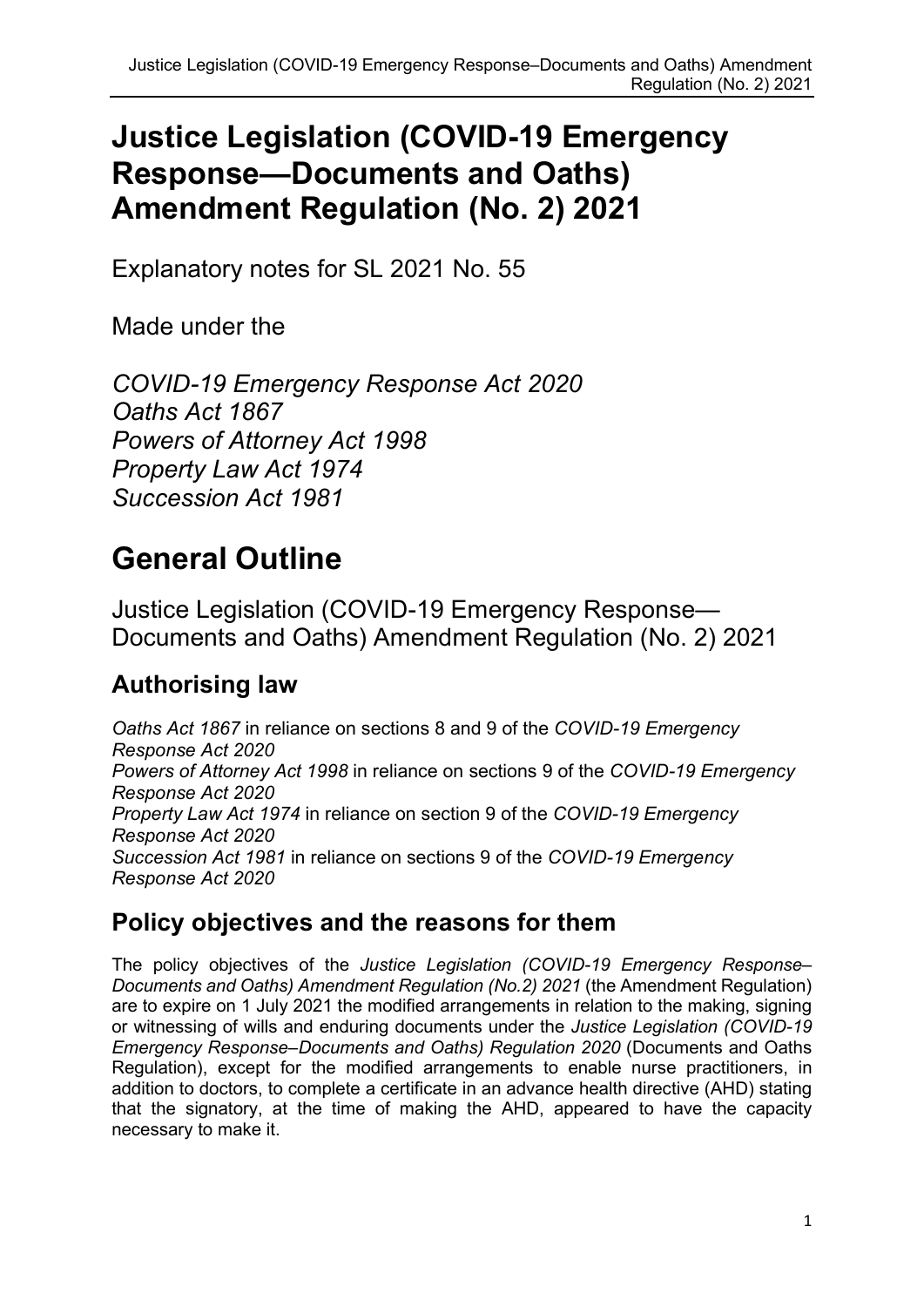# Justice Legislation (COVID-19 Emergency Response—Documents and Oaths) Amendment Regulation (No. 2) 2021

Explanatory notes for SL 2021 No. 55

Made under the

COVID-19 Emergency Response Act 2020 Oaths Act 1867 Powers of Attorney Act 1998 Property Law Act 1974 Succession Act 1981

# General Outline

Justice Legislation (COVID-19 Emergency Response— Documents and Oaths) Amendment Regulation (No. 2) 2021

# Authorising law

Oaths Act 1867 in reliance on sections 8 and 9 of the COVID-19 Emergency Response Act 2020 Powers of Attorney Act 1998 in reliance on sections 9 of the COVID-19 Emergency Response Act 2020 Property Law Act 1974 in reliance on section 9 of the COVID-19 Emergency Response Act 2020 Succession Act 1981 in reliance on sections 9 of the COVID-19 Emergency Response Act 2020

#### Policy objectives and the reasons for them

The policy objectives of the Justice Legislation (COVID-19 Emergency Response– Documents and Oaths) Amendment Regulation (No.2) 2021 (the Amendment Regulation) are to expire on 1 July 2021 the modified arrangements in relation to the making, signing or witnessing of wills and enduring documents under the Justice Legislation (COVID-19 Emergency Response–Documents and Oaths) Regulation 2020 (Documents and Oaths Regulation), except for the modified arrangements to enable nurse practitioners, in addition to doctors, to complete a certificate in an advance health directive (AHD) stating that the signatory, at the time of making the AHD, appeared to have the capacity necessary to make it.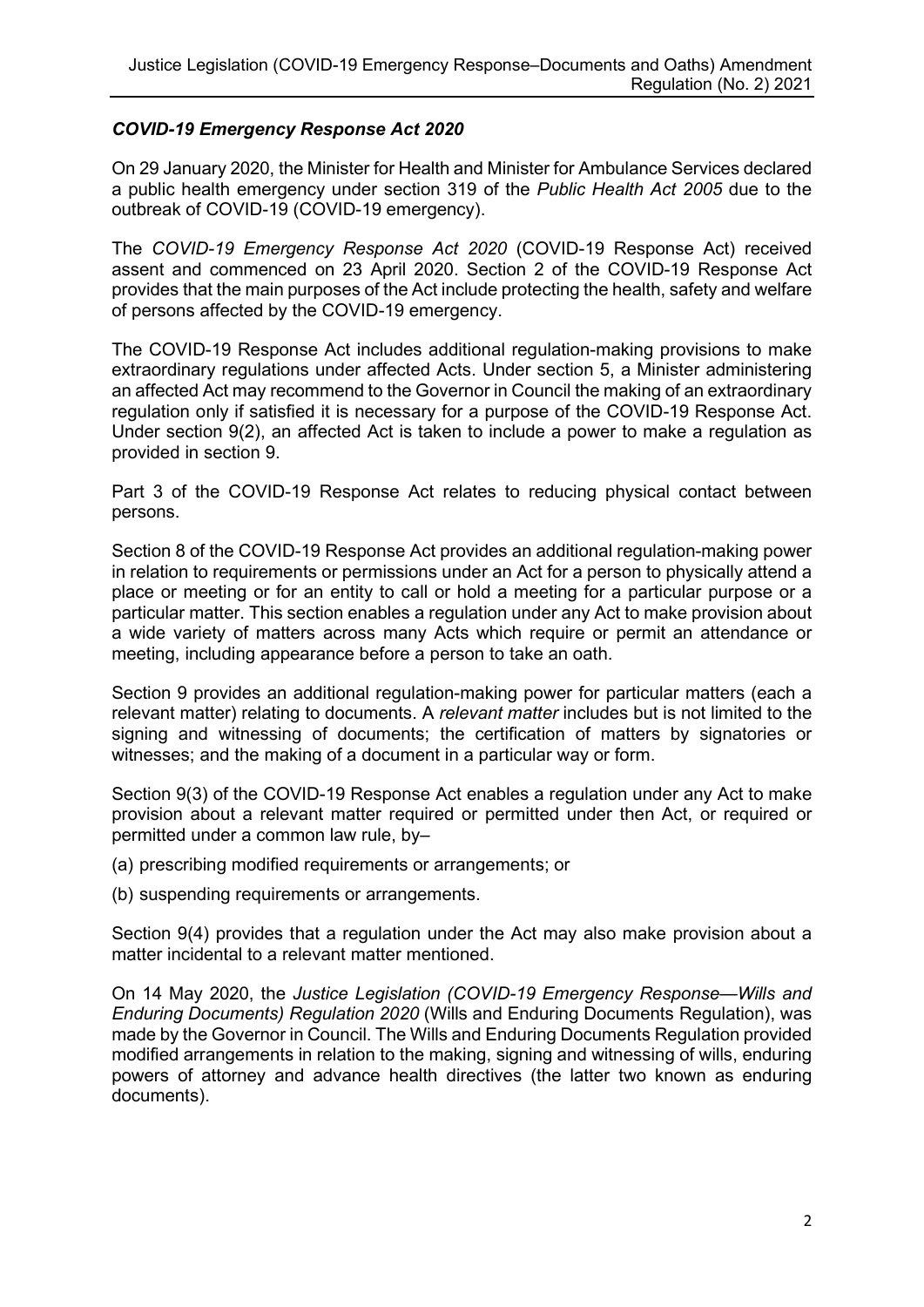#### COVID-19 Emergency Response Act 2020

On 29 January 2020, the Minister for Health and Minister for Ambulance Services declared a public health emergency under section 319 of the Public Health Act 2005 due to the outbreak of COVID-19 (COVID-19 emergency).

The COVID-19 Emergency Response Act 2020 (COVID-19 Response Act) received assent and commenced on 23 April 2020. Section 2 of the COVID-19 Response Act provides that the main purposes of the Act include protecting the health, safety and welfare of persons affected by the COVID-19 emergency.

The COVID-19 Response Act includes additional regulation-making provisions to make extraordinary regulations under affected Acts. Under section 5, a Minister administering an affected Act may recommend to the Governor in Council the making of an extraordinary regulation only if satisfied it is necessary for a purpose of the COVID-19 Response Act. Under section 9(2), an affected Act is taken to include a power to make a regulation as provided in section 9.

Part 3 of the COVID-19 Response Act relates to reducing physical contact between persons.

Section 8 of the COVID-19 Response Act provides an additional regulation-making power in relation to requirements or permissions under an Act for a person to physically attend a place or meeting or for an entity to call or hold a meeting for a particular purpose or a particular matter. This section enables a regulation under any Act to make provision about a wide variety of matters across many Acts which require or permit an attendance or meeting, including appearance before a person to take an oath.

Section 9 provides an additional regulation-making power for particular matters (each a relevant matter) relating to documents. A relevant matter includes but is not limited to the signing and witnessing of documents; the certification of matters by signatories or witnesses; and the making of a document in a particular way or form.

Section 9(3) of the COVID-19 Response Act enables a regulation under any Act to make provision about a relevant matter required or permitted under then Act, or required or permitted under a common law rule, by–

(a) prescribing modified requirements or arrangements; or

(b) suspending requirements or arrangements.

Section 9(4) provides that a regulation under the Act may also make provision about a matter incidental to a relevant matter mentioned.

On 14 May 2020, the Justice Legislation (COVID-19 Emergency Response—Wills and Enduring Documents) Regulation 2020 (Wills and Enduring Documents Regulation), was made by the Governor in Council. The Wills and Enduring Documents Regulation provided modified arrangements in relation to the making, signing and witnessing of wills, enduring powers of attorney and advance health directives (the latter two known as enduring documents).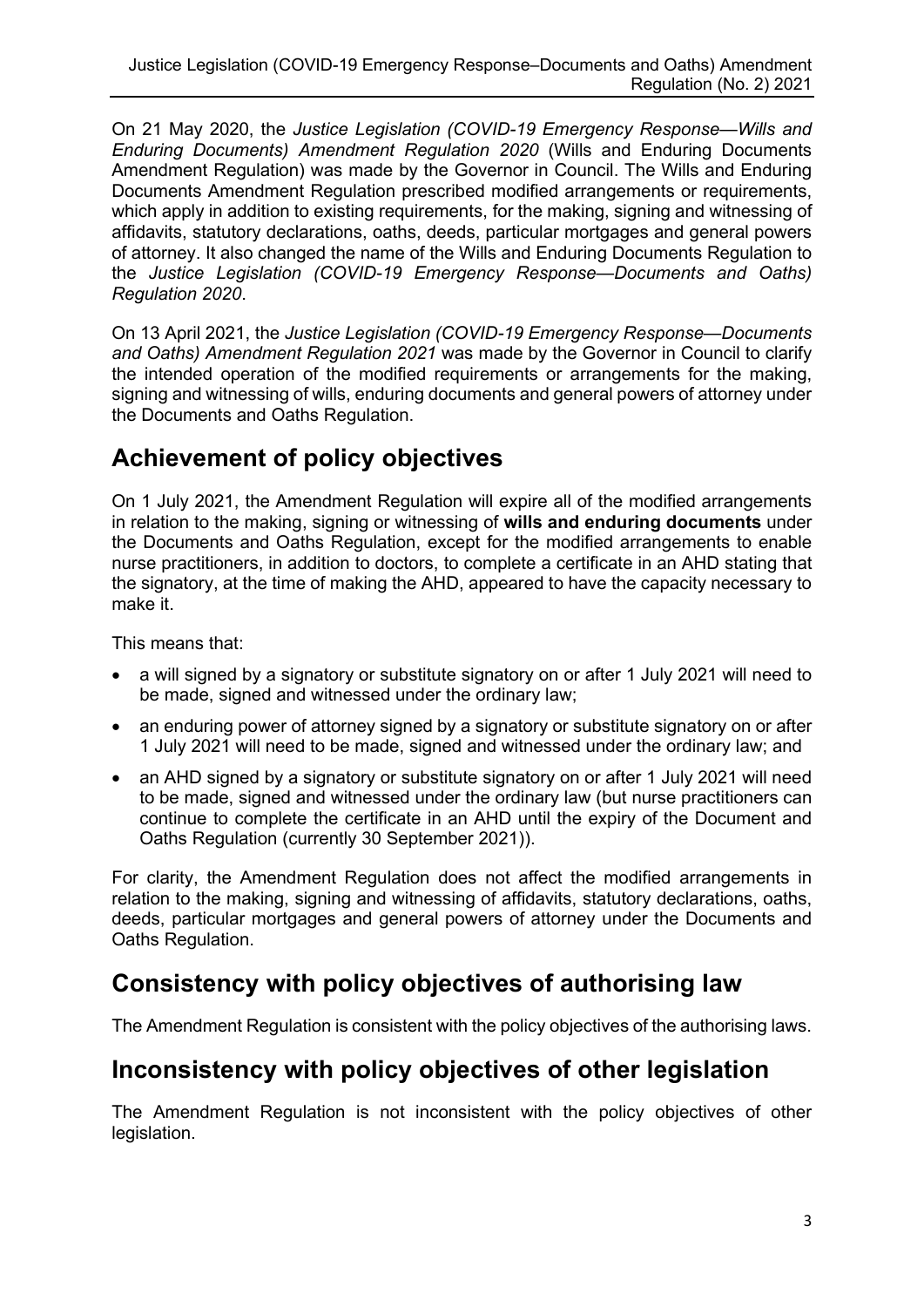On 21 May 2020, the Justice Legislation (COVID-19 Emergency Response—Wills and Enduring Documents) Amendment Regulation 2020 (Wills and Enduring Documents Amendment Regulation) was made by the Governor in Council. The Wills and Enduring Documents Amendment Regulation prescribed modified arrangements or requirements, which apply in addition to existing requirements, for the making, signing and witnessing of affidavits, statutory declarations, oaths, deeds, particular mortgages and general powers of attorney. It also changed the name of the Wills and Enduring Documents Regulation to the Justice Legislation (COVID-19 Emergency Response—Documents and Oaths) Regulation 2020.

On 13 April 2021, the Justice Legislation (COVID-19 Emergency Response—Documents and Oaths) Amendment Regulation 2021 was made by the Governor in Council to clarify the intended operation of the modified requirements or arrangements for the making, signing and witnessing of wills, enduring documents and general powers of attorney under the Documents and Oaths Regulation.

## Achievement of policy objectives

On 1 July 2021, the Amendment Regulation will expire all of the modified arrangements in relation to the making, signing or witnessing of wills and enduring documents under the Documents and Oaths Regulation, except for the modified arrangements to enable nurse practitioners, in addition to doctors, to complete a certificate in an AHD stating that the signatory, at the time of making the AHD, appeared to have the capacity necessary to make it.

This means that:

- a will signed by a signatory or substitute signatory on or after 1 July 2021 will need to be made, signed and witnessed under the ordinary law;
- an enduring power of attorney signed by a signatory or substitute signatory on or after 1 July 2021 will need to be made, signed and witnessed under the ordinary law; and
- an AHD signed by a signatory or substitute signatory on or after 1 July 2021 will need to be made, signed and witnessed under the ordinary law (but nurse practitioners can continue to complete the certificate in an AHD until the expiry of the Document and Oaths Regulation (currently 30 September 2021)).

For clarity, the Amendment Regulation does not affect the modified arrangements in relation to the making, signing and witnessing of affidavits, statutory declarations, oaths, deeds, particular mortgages and general powers of attorney under the Documents and Oaths Regulation.

## Consistency with policy objectives of authorising law

The Amendment Regulation is consistent with the policy objectives of the authorising laws.

#### Inconsistency with policy objectives of other legislation

The Amendment Regulation is not inconsistent with the policy objectives of other legislation.